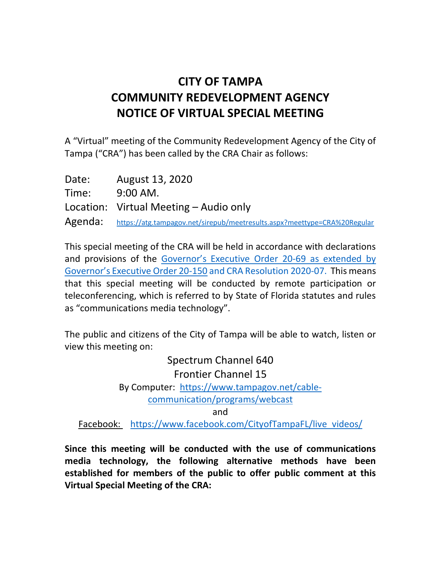## **CITY OF TAMPA COMMUNITY REDEVELOPMENT AGENCY NOTICE OF VIRTUAL SPECIAL MEETING**

A "Virtual" meeting of the Community Redevelopment Agency of the City of Tampa ("CRA") has been called by the CRA Chair as follows:

| Date: | August 13, 2020                                                                  |
|-------|----------------------------------------------------------------------------------|
| Time: | $9:00$ AM.                                                                       |
|       | Location: Virtual Meeting – Audio only                                           |
|       | Agenda: https://atg.tampagov.net/sirepub/meetresults.aspx?meettype=CRA%20Regular |

This special meeting of the CRA will be held in accordance with declarations and provisions of the [Governor's Executive Order 20-69](https://www.flgov.com/wp-content/uploads/orders/2020/EO_20-69.pdf) as extended by Governor's Executive Order 20-150 and CRA Resolution 2020-07. This means that this special meeting will be conducted by remote participation or teleconferencing, which is referred to by State of Florida statutes and rules as "communications media technology".

The public and citizens of the City of Tampa will be able to watch, listen or view this meeting on:

> Spectrum Channel 640 Frontier Channel 15 By Computer: [https://www.tampagov.net/cable](https://www.tampagov.net/cable-communication/programs/webcast)[communication/programs/webcast](https://www.tampagov.net/cable-communication/programs/webcast) and

Facebook: [https://www.facebook.com/CityofTampaFL/live\\_videos/](https://www.facebook.com/CityofTampaFL/live_videos/)

**Since this meeting will be conducted with the use of communications media technology, the following alternative methods have been established for members of the public to offer public comment at this Virtual Special Meeting of the CRA:**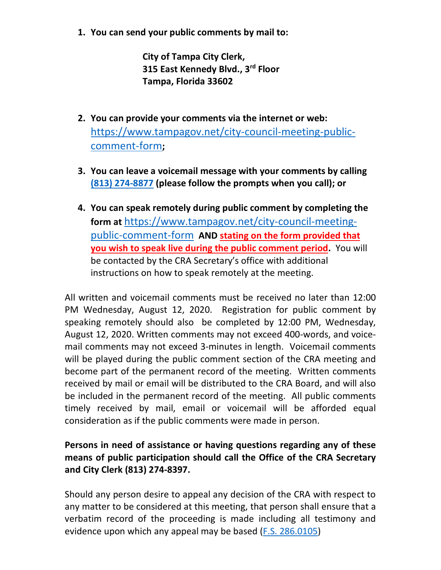**1. You can send your public comments by mail to:**

**City of Tampa City Clerk, 315 East Kennedy Blvd., 3rd Floor Tampa, Florida 33602**

- **2. You can provide your comments via the internet or web:**  [https://www.tampagov.net/city-council-meeting-public](https://www.tampagov.net/city-council-meeting-public-comment-form)[comment-form](https://www.tampagov.net/city-council-meeting-public-comment-form)**;**
- **3. You can leave a voicemail message with your comments by calling (813) [274-8877](tel://813-274-8877/) (please follow the prompts when you call); or**
- **4. You can speak remotely during public comment by completing the form at** [https://www.tampagov.net/city-council-meeting](https://www.tampagov.net/city-council-meeting-public-comment-form)[public-comment-form](https://www.tampagov.net/city-council-meeting-public-comment-form) **AND stating on the form provided that you wish to speak live during the public comment period.** You will be contacted by the CRA Secretary's office with additional instructions on how to speak remotely at the meeting.

All written and voicemail comments must be received no later than 12:00 PM Wednesday, August 12, 2020. Registration for public comment by speaking remotely should also be completed by 12:00 PM, Wednesday, August 12, 2020. Written comments may not exceed 400-words, and voicemail comments may not exceed 3-minutes in length. Voicemail comments will be played during the public comment section of the CRA meeting and become part of the permanent record of the meeting. Written comments received by mail or email will be distributed to the CRA Board, and will also be included in the permanent record of the meeting. All public comments timely received by mail, email or voicemail will be afforded equal consideration as if the public comments were made in person.

## **Persons in need of assistance or having questions regarding any of these means of public participation should call the Office of the CRA Secretary and City Clerk (813) 274-8397.**

Should any person desire to appeal any decision of the CRA with respect to any matter to be considered at this meeting, that person shall ensure that a verbatim record of the proceeding is made including all testimony and evidence upon which any appeal may be based [\(F.S. 286.0105\)](http://www.leg.state.fl.us/Statutes/index.cfm?App_mode=Display_Statute&URL=0200-0299/0286/Sections/0286.0105.html)